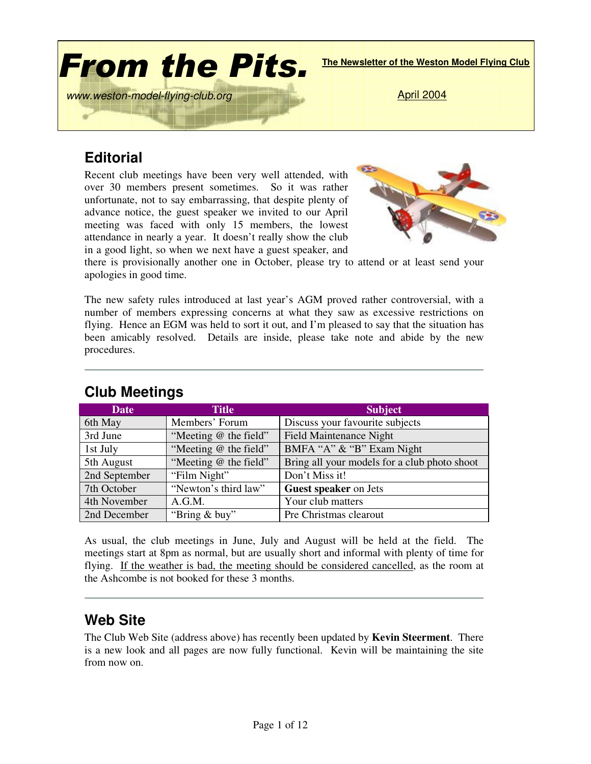

# **Editorial**

Recent club meetings have been very well attended, with over 30 members present sometimes. So it was rather unfortunate, not to say embarrassing, that despite plenty of advance notice, the guest speaker we invited to our April meeting was faced with only 15 members, the lowest attendance in nearly a year. It doesn't really show the club in a good light, so when we next have a guest speaker, and



there is provisionally another one in October, please try to attend or at least send your apologies in good time.

The new safety rules introduced at last year's AGM proved rather controversial, with a number of members expressing concerns at what they saw as excessive restrictions on flying. Hence an EGM was held to sort it out, and I'm pleased to say that the situation has been amicably resolved. Details are inside, please take note and abide by the new procedures.

| <b>Date</b>   | <b>Title</b>          | <b>Subject</b>                               |
|---------------|-----------------------|----------------------------------------------|
| 6th May       | Members' Forum        | Discuss your favourite subjects              |
| 3rd June      | "Meeting @ the field" | <b>Field Maintenance Night</b>               |
| 1st July      | "Meeting @ the field" | BMFA "A" & "B" Exam Night                    |
| 5th August    | "Meeting @ the field" | Bring all your models for a club photo shoot |
| 2nd September | "Film Night"          | Don't Miss it!                               |
| 7th October   | "Newton's third law"  | Guest speaker on Jets                        |
| 4th November  | A.G.M.                | Your club matters                            |
| 2nd December  | "Bring & buy"         | Pre Christmas clearout                       |

#### **Club Meetings**

As usual, the club meetings in June, July and August will be held at the field. The meetings start at 8pm as normal, but are usually short and informal with plenty of time for flying. If the weather is bad, the meeting should be considered cancelled, as the room at the Ashcombe is not booked for these 3 months.

#### **Web Site**

The Club Web Site (address above) has recently been updated by **Kevin Steerment**. There is a new look and all pages are now fully functional. Kevin will be maintaining the site from now on.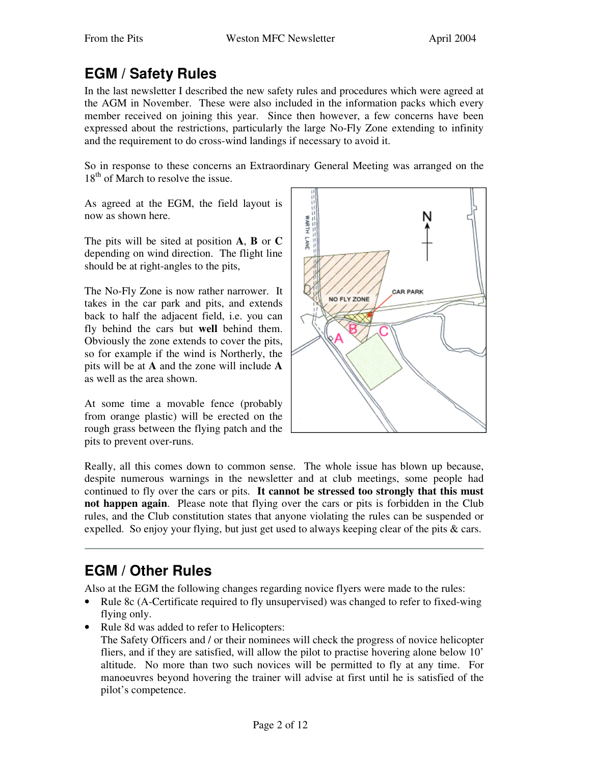# **EGM / Safety Rules**

In the last newsletter I described the new safety rules and procedures which were agreed at the AGM in November. These were also included in the information packs which every member received on joining this year. Since then however, a few concerns have been expressed about the restrictions, particularly the large No-Fly Zone extending to infinity and the requirement to do cross-wind landings if necessary to avoid it.

So in response to these concerns an Extraordinary General Meeting was arranged on the 18<sup>th</sup> of March to resolve the issue.

As agreed at the EGM, the field layout is now as shown here.

The pits will be sited at position **A**, **B** or **C** depending on wind direction. The flight line should be at right-angles to the pits,

The No-Fly Zone is now rather narrower. It takes in the car park and pits, and extends back to half the adjacent field, i.e. you can fly behind the cars but **well** behind them. Obviously the zone extends to cover the pits, so for example if the wind is Northerly, the pits will be at **A** and the zone will include **A** as well as the area shown.

At some time a movable fence (probably from orange plastic) will be erected on the rough grass between the flying patch and the pits to prevent over-runs.



Really, all this comes down to common sense. The whole issue has blown up because, despite numerous warnings in the newsletter and at club meetings, some people had continued to fly over the cars or pits. **It cannot be stressed too strongly that this must not happen again**. Please note that flying over the cars or pits is forbidden in the Club rules, and the Club constitution states that anyone violating the rules can be suspended or expelled. So enjoy your flying, but just get used to always keeping clear of the pits & cars.

# **EGM / Other Rules**

Also at the EGM the following changes regarding novice flyers were made to the rules:

- Rule 8c (A-Certificate required to fly unsupervised) was changed to refer to fixed-wing flying only.
- Rule 8d was added to refer to Helicopters:

The Safety Officers and / or their nominees will check the progress of novice helicopter fliers, and if they are satisfied, will allow the pilot to practise hovering alone below 10' altitude. No more than two such novices will be permitted to fly at any time. For manoeuvres beyond hovering the trainer will advise at first until he is satisfied of the pilot's competence.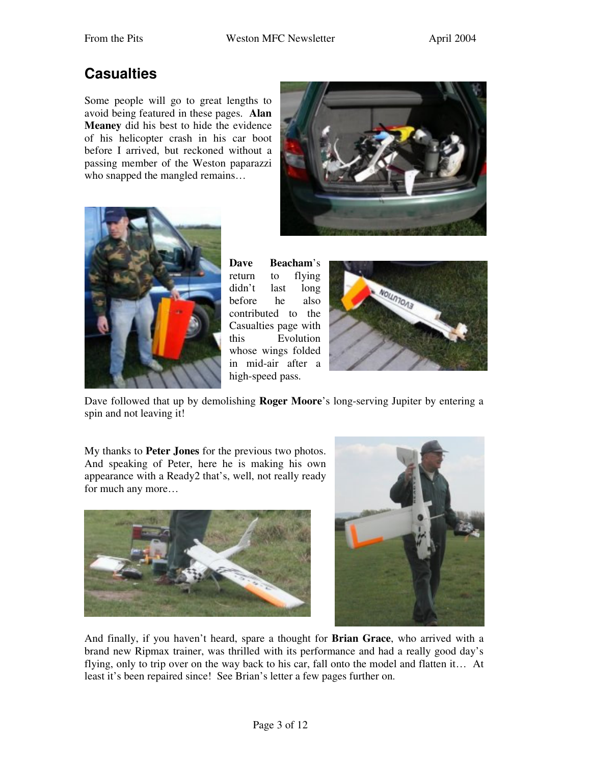## **Casualties**

Some people will go to great lengths to avoid being featured in these pages. **Alan Meaney** did his best to hide the evidence of his helicopter crash in his car boot before I arrived, but reckoned without a passing member of the Weston paparazzi who snapped the mangled remains…





**Dave Beacham**'s return to flying didn't last long before he also contributed to the Casualties page with this Evolution whose wings folded in mid-air after a high-speed pass.



Dave followed that up by demolishing **Roger Moore**'s long-serving Jupiter by entering a spin and not leaving it!

My thanks to **Peter Jones** for the previous two photos. And speaking of Peter, here he is making his own appearance with a Ready2 that's, well, not really ready for much any more…





And finally, if you haven't heard, spare a thought for **Brian Grace**, who arrived with a brand new Ripmax trainer, was thrilled with its performance and had a really good day's flying, only to trip over on the way back to his car, fall onto the model and flatten it… At least it's been repaired since! See Brian's letter a few pages further on.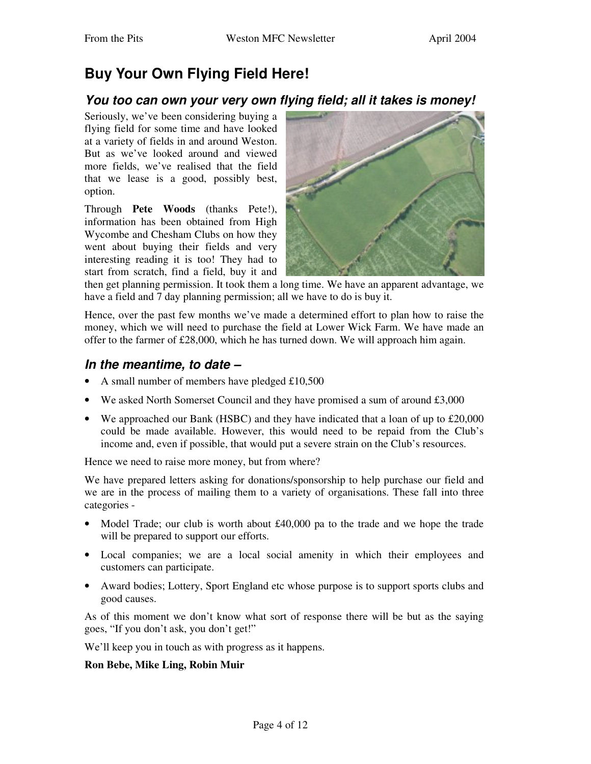# **Buy Your Own Flying Field Here!**

#### *You too can own your very own flying field; all it takes is money!*

Seriously, we've been considering buying a flying field for some time and have looked at a variety of fields in and around Weston. But as we've looked around and viewed more fields, we've realised that the field that we lease is a good, possibly best, option.

Through **Pete Woods** (thanks Pete!), information has been obtained from High Wycombe and Chesham Clubs on how they went about buying their fields and very interesting reading it is too! They had to start from scratch, find a field, buy it and



then get planning permission. It took them a long time. We have an apparent advantage, we have a field and 7 day planning permission; all we have to do is buy it.

Hence, over the past few months we've made a determined effort to plan how to raise the money, which we will need to purchase the field at Lower Wick Farm. We have made an offer to the farmer of £28,000, which he has turned down. We will approach him again.

#### *In the meantime, to date –*

- A small number of members have pledged  $£10,500$
- We asked North Somerset Council and they have promised a sum of around £3,000
- We approached our Bank (HSBC) and they have indicated that a loan of up to £20,000 could be made available. However, this would need to be repaid from the Club's income and, even if possible, that would put a severe strain on the Club's resources.

Hence we need to raise more money, but from where?

We have prepared letters asking for donations/sponsorship to help purchase our field and we are in the process of mailing them to a variety of organisations. These fall into three categories -

- Model Trade; our club is worth about £40,000 pa to the trade and we hope the trade will be prepared to support our efforts.
- Local companies; we are a local social amenity in which their employees and customers can participate.
- Award bodies; Lottery, Sport England etc whose purpose is to support sports clubs and good causes.

As of this moment we don't know what sort of response there will be but as the saying goes, "If you don't ask, you don't get!"

We'll keep you in touch as with progress as it happens.

#### **Ron Bebe, Mike Ling, Robin Muir**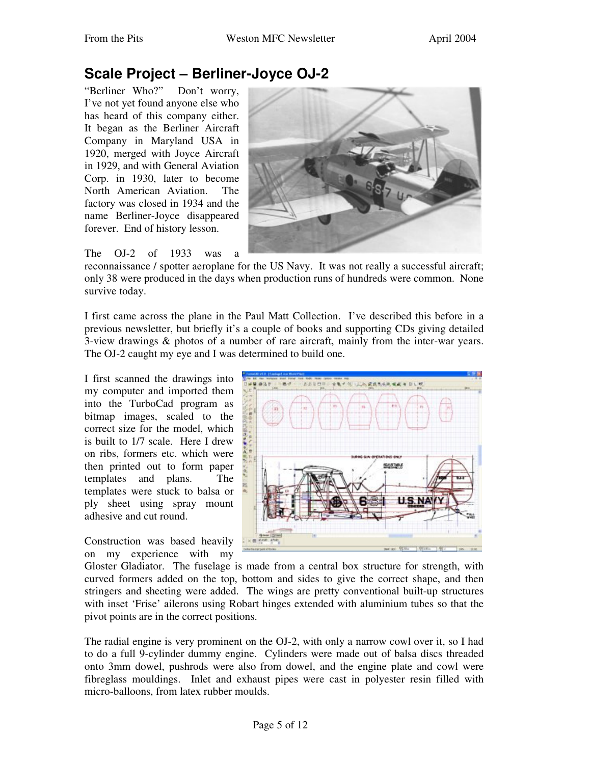## **Scale Project – Berliner-Joyce OJ-2**

"Berliner Who?" Don't worry, I've not yet found anyone else who has heard of this company either. It began as the Berliner Aircraft Company in Maryland USA in 1920, merged with Joyce Aircraft in 1929, and with General Aviation Corp. in 1930, later to become North American Aviation. The factory was closed in 1934 and the name Berliner-Joyce disappeared forever. End of history lesson.



The OJ-2 of 1933 was a

reconnaissance / spotter aeroplane for the US Navy. It was not really a successful aircraft; only 38 were produced in the days when production runs of hundreds were common. None survive today.

I first came across the plane in the Paul Matt Collection. I've described this before in a previous newsletter, but briefly it's a couple of books and supporting CDs giving detailed 3-view drawings & photos of a number of rare aircraft, mainly from the inter-war years. The OJ-2 caught my eye and I was determined to build one.

I first scanned the drawings into my computer and imported them into the TurboCad program as bitmap images, scaled to the correct size for the model, which is built to 1/7 scale. Here I drew on ribs, formers etc. which were then printed out to form paper templates and plans. The templates were stuck to balsa or ply sheet using spray mount adhesive and cut round.

Construction was based heavily on my experience with my



Gloster Gladiator. The fuselage is made from a central box structure for strength, with curved formers added on the top, bottom and sides to give the correct shape, and then stringers and sheeting were added. The wings are pretty conventional built-up structures with inset 'Frise' ailerons using Robart hinges extended with aluminium tubes so that the pivot points are in the correct positions.

The radial engine is very prominent on the OJ-2, with only a narrow cowl over it, so I had to do a full 9-cylinder dummy engine. Cylinders were made out of balsa discs threaded onto 3mm dowel, pushrods were also from dowel, and the engine plate and cowl were fibreglass mouldings. Inlet and exhaust pipes were cast in polyester resin filled with micro-balloons, from latex rubber moulds.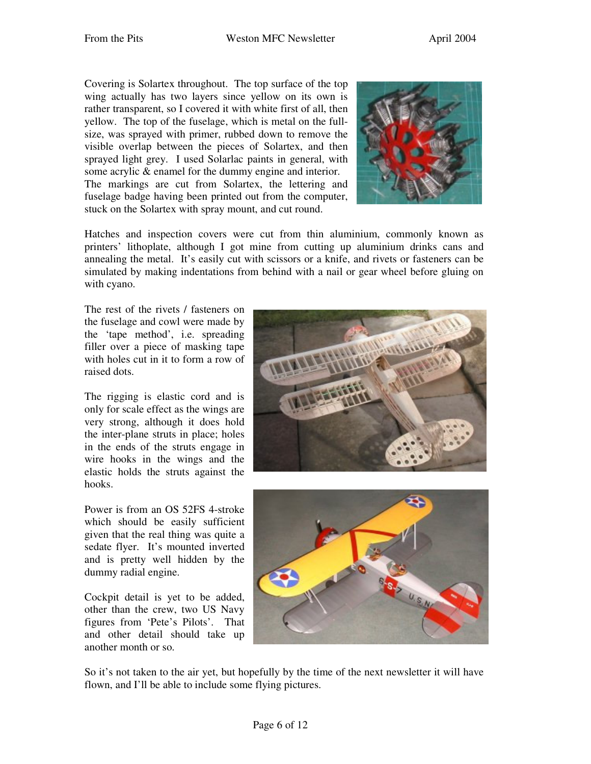Covering is Solartex throughout. The top surface of the top wing actually has two layers since yellow on its own is rather transparent, so I covered it with white first of all, then yellow. The top of the fuselage, which is metal on the fullsize, was sprayed with primer, rubbed down to remove the visible overlap between the pieces of Solartex, and then sprayed light grey. I used Solarlac paints in general, with some acrylic & enamel for the dummy engine and interior. The markings are cut from Solartex, the lettering and fuselage badge having been printed out from the computer, stuck on the Solartex with spray mount, and cut round.



Hatches and inspection covers were cut from thin aluminium, commonly known as printers' lithoplate, although I got mine from cutting up aluminium drinks cans and annealing the metal. It's easily cut with scissors or a knife, and rivets or fasteners can be simulated by making indentations from behind with a nail or gear wheel before gluing on with cyano.

The rest of the rivets / fasteners on the fuselage and cowl were made by the 'tape method', i.e. spreading filler over a piece of masking tape with holes cut in it to form a row of raised dots.

The rigging is elastic cord and is only for scale effect as the wings are very strong, although it does hold the inter-plane struts in place; holes in the ends of the struts engage in wire hooks in the wings and the elastic holds the struts against the hooks.

Power is from an OS 52FS 4-stroke which should be easily sufficient given that the real thing was quite a sedate flyer. It's mounted inverted and is pretty well hidden by the dummy radial engine.

Cockpit detail is yet to be added, other than the crew, two US Navy figures from 'Pete's Pilots'. That and other detail should take up another month or so.





So it's not taken to the air yet, but hopefully by the time of the next newsletter it will have flown, and I'll be able to include some flying pictures.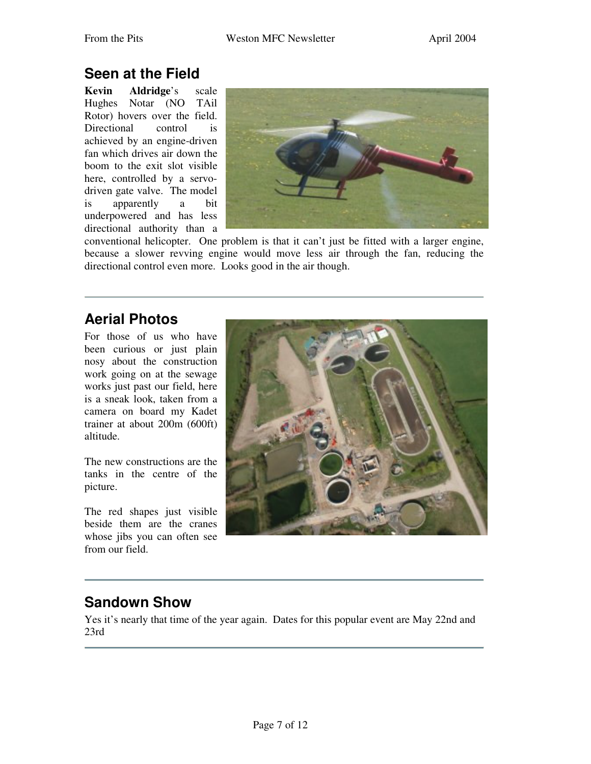#### **Seen at the Field**

**Kevin Aldridge**'s scale Hughes Notar (NO TAil Rotor) hovers over the field. Directional control is achieved by an engine-driven fan which drives air down the boom to the exit slot visible here, controlled by a servodriven gate valve. The model is apparently a bit underpowered and has less directional authority than a



conventional helicopter. One problem is that it can't just be fitted with a larger engine, because a slower revving engine would move less air through the fan, reducing the directional control even more. Looks good in the air though.

## **Aerial Photos**

For those of us who have been curious or just plain nosy about the construction work going on at the sewage works just past our field, here is a sneak look, taken from a camera on board my Kadet trainer at about 200m (600ft) altitude.

The new constructions are the tanks in the centre of the picture.

The red shapes just visible beside them are the cranes whose jibs you can often see from our field.



## **Sandown Show**

Yes it's nearly that time of the year again. Dates for this popular event are May 22nd and 23rd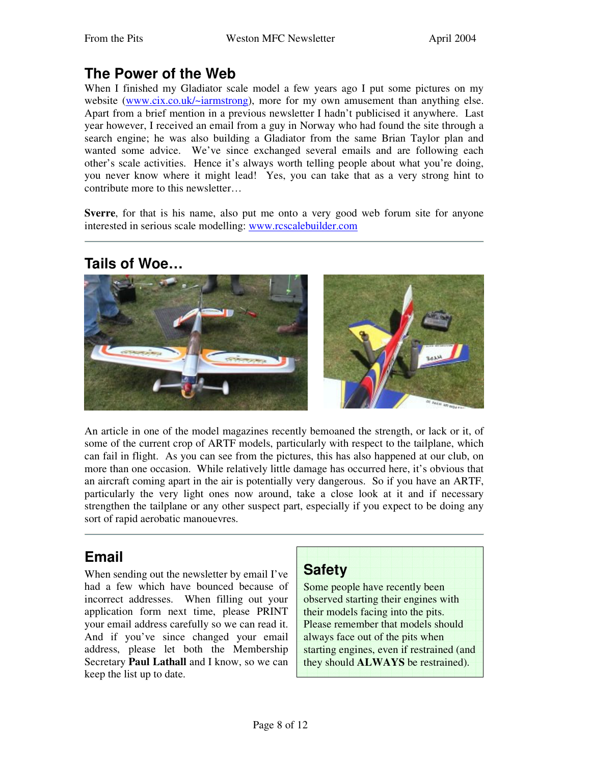#### **The Power of the Web**

When I finished my Gladiator scale model a few years ago I put some pictures on my website (www.cix.co.uk/~iarmstrong), more for my own amusement than anything else. Apart from a brief mention in a previous newsletter I hadn't publicised it anywhere. Last year however, I received an email from a guy in Norway who had found the site through a search engine; he was also building a Gladiator from the same Brian Taylor plan and wanted some advice. We've since exchanged several emails and are following each other's scale activities. Hence it's always worth telling people about what you're doing, you never know where it might lead! Yes, you can take that as a very strong hint to contribute more to this newsletter…

**Sverre**, for that is his name, also put me onto a very good web forum site for anyone interested in serious scale modelling: www.rcscalebuilder.com

#### **Tails of Woe…**



An article in one of the model magazines recently bemoaned the strength, or lack or it, of some of the current crop of ARTF models, particularly with respect to the tailplane, which can fail in flight. As you can see from the pictures, this has also happened at our club, on more than one occasion. While relatively little damage has occurred here, it's obvious that an aircraft coming apart in the air is potentially very dangerous. So if you have an ARTF, particularly the very light ones now around, take a close look at it and if necessary strengthen the tailplane or any other suspect part, especially if you expect to be doing any sort of rapid aerobatic manouevres.

## **Email**

When sending out the newsletter by email I've had a few which have bounced because of incorrect addresses. When filling out your application form next time, please PRINT your email address carefully so we can read it. And if you've since changed your email address, please let both the Membership Secretary **Paul Lathall** and I know, so we can keep the list up to date.

#### **Safety**

Some people have recently been observed starting their engines with their models facing into the pits. Please remember that models should always face out of the pits when starting engines, even if restrained (and they should **ALWAYS** be restrained).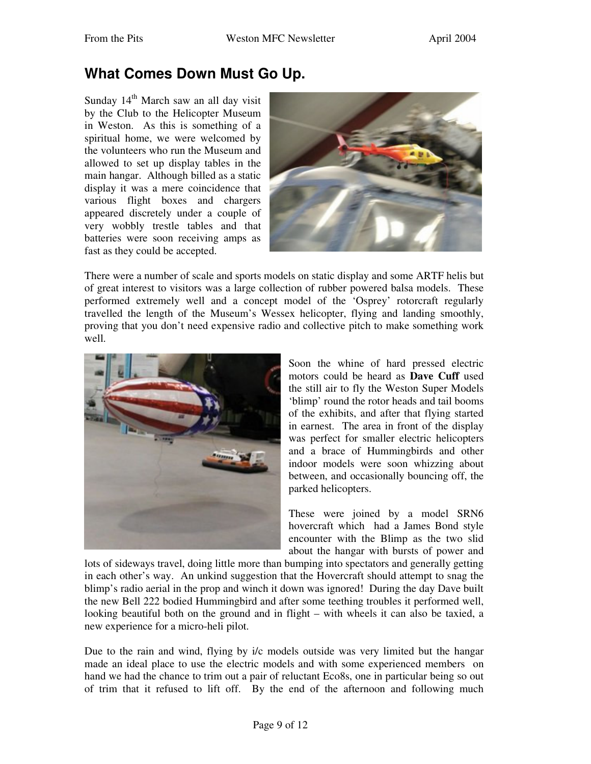#### **What Comes Down Must Go Up.**

Sunday 14<sup>th</sup> March saw an all day visit by the Club to the Helicopter Museum in Weston. As this is something of a spiritual home, we were welcomed by the volunteers who run the Museum and allowed to set up display tables in the main hangar. Although billed as a static display it was a mere coincidence that various flight boxes and chargers appeared discretely under a couple of very wobbly trestle tables and that batteries were soon receiving amps as fast as they could be accepted.



There were a number of scale and sports models on static display and some ARTF helis but of great interest to visitors was a large collection of rubber powered balsa models. These performed extremely well and a concept model of the 'Osprey' rotorcraft regularly travelled the length of the Museum's Wessex helicopter, flying and landing smoothly, proving that you don't need expensive radio and collective pitch to make something work well.



Soon the whine of hard pressed electric motors could be heard as **Dave Cuff** used the still air to fly the Weston Super Models 'blimp' round the rotor heads and tail booms of the exhibits, and after that flying started in earnest. The area in front of the display was perfect for smaller electric helicopters and a brace of Hummingbirds and other indoor models were soon whizzing about between, and occasionally bouncing off, the parked helicopters.

These were joined by a model SRN6 hovercraft which had a James Bond style encounter with the Blimp as the two slid about the hangar with bursts of power and

lots of sideways travel, doing little more than bumping into spectators and generally getting in each other's way. An unkind suggestion that the Hovercraft should attempt to snag the blimp's radio aerial in the prop and winch it down was ignored! During the day Dave built the new Bell 222 bodied Hummingbird and after some teething troubles it performed well, looking beautiful both on the ground and in flight – with wheels it can also be taxied, a new experience for a micro-heli pilot.

Due to the rain and wind, flying by i/c models outside was very limited but the hangar made an ideal place to use the electric models and with some experienced members on hand we had the chance to trim out a pair of reluctant Eco8s, one in particular being so out of trim that it refused to lift off. By the end of the afternoon and following much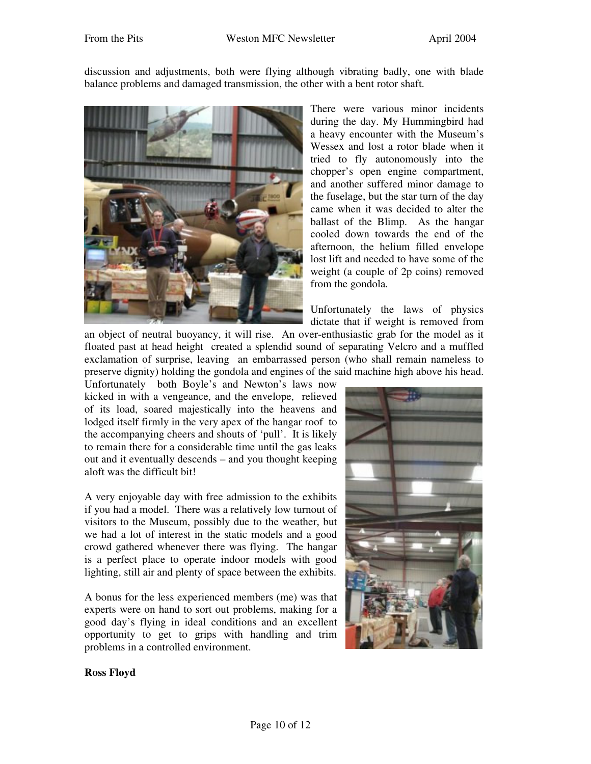discussion and adjustments, both were flying although vibrating badly, one with blade balance problems and damaged transmission, the other with a bent rotor shaft.



There were various minor incidents during the day. My Hummingbird had a heavy encounter with the Museum's Wessex and lost a rotor blade when it tried to fly autonomously into the chopper's open engine compartment, and another suffered minor damage to the fuselage, but the star turn of the day came when it was decided to alter the ballast of the Blimp. As the hangar cooled down towards the end of the afternoon, the helium filled envelope lost lift and needed to have some of the weight (a couple of 2p coins) removed from the gondola.

Unfortunately the laws of physics dictate that if weight is removed from

an object of neutral buoyancy, it will rise. An over-enthusiastic grab for the model as it floated past at head height created a splendid sound of separating Velcro and a muffled exclamation of surprise, leaving an embarrassed person (who shall remain nameless to preserve dignity) holding the gondola and engines of the said machine high above his head.

Unfortunately both Boyle's and Newton's laws now kicked in with a vengeance, and the envelope, relieved of its load, soared majestically into the heavens and lodged itself firmly in the very apex of the hangar roof to the accompanying cheers and shouts of 'pull'. It is likely to remain there for a considerable time until the gas leaks out and it eventually descends – and you thought keeping aloft was the difficult bit!

A very enjoyable day with free admission to the exhibits if you had a model. There was a relatively low turnout of visitors to the Museum, possibly due to the weather, but we had a lot of interest in the static models and a good crowd gathered whenever there was flying. The hangar is a perfect place to operate indoor models with good lighting, still air and plenty of space between the exhibits.

A bonus for the less experienced members (me) was that experts were on hand to sort out problems, making for a good day's flying in ideal conditions and an excellent opportunity to get to grips with handling and trim problems in a controlled environment.



#### **Ross Floyd**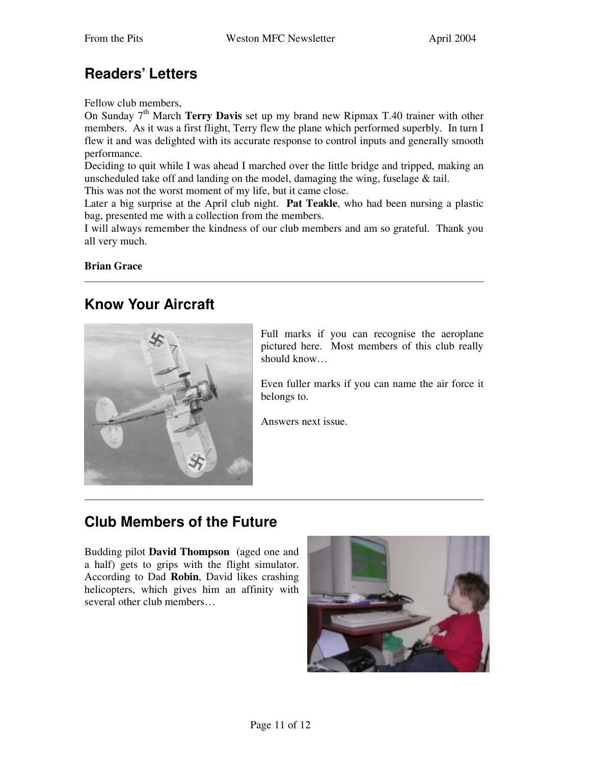## **Readers' Letters**

Fellow club members,

On Sunday 7<sup>th</sup> March **Terry Davis** set up my brand new Ripmax T.40 trainer with other members. As it was a first flight, Terry flew the plane which performed superbly. In turn I flew it and was delighted with its accurate response to control inputs and generally smooth performance.

Deciding to quit while I was ahead I marched over the little bridge and tripped, making an unscheduled take off and landing on the model, damaging the wing, fuselage  $\&$  tail.

This was not the worst moment of my life, but it came close.

Later a big surprise at the April club night. **Pat Teakle**, who had been nursing a plastic bag, presented me with a collection from the members.

I will always remember the kindness of our club members and am so grateful. Thank you all very much.

**Brian Grace**

#### **Know Your Aircraft**



Full marks if you can recognise the aeroplane pictured here. Most members of this club really should know…

Even fuller marks if you can name the air force it belongs to.

Answers next issue.

## **Club Members of the Future**

Budding pilot **David Thompson** (aged one and a half) gets to grips with the flight simulator. According to Dad **Robin**, David likes crashing helicopters, which gives him an affinity with several other club members…